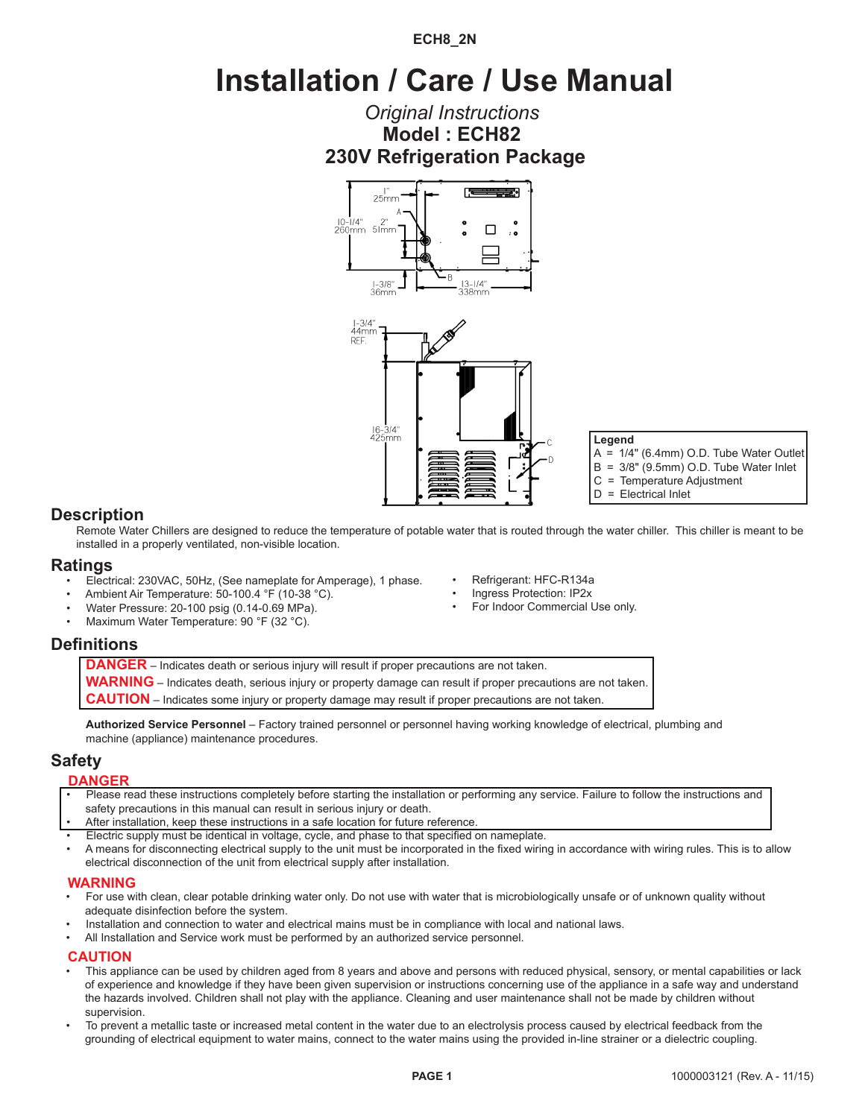### **ECH8\_2N**

# **Installation / Care / Use Manual**

# **230V Refrigeration Package Model : ECH82** *Original Instructions*





**Legend** A = 1/4" (6.4mm) O.D. Tube Water Outlet B = 3/8" (9.5mm) O.D. Tube Water Inlet C = Temperature Adjustment D = Electrical Inlet

### **Description**

Remote Water Chillers are designed to reduce the temperature of potable water that is routed through the water chiller. This chiller is meant to be installed in a properly ventilated, non-visible location.

> • Refrigerant: HFC-R134a • Ingress Protection: IP2x For Indoor Commercial Use only.

### **Ratings**

- Electrical: 230VAC, 50Hz, (See nameplate for Amperage), 1 phase.
- Ambient Air Temperature: 50-100.4 °F (10-38 °C).
- Water Pressure: 20-100 psig (0.14-0.69 MPa).
- Maximum Water Temperature: 90 °F (32 °C).

# **Definitions**

**DANGER** – Indicates death or serious injury will result if proper precautions are not taken.

**WARNING** – Indicates death, serious injury or property damage can result if proper precautions are not taken.

**CAUTION** – Indicates some injury or property damage may result if proper precautions are not taken.

**Authorized Service Personnel** – Factory trained personnel or personnel having working knowledge of electrical, plumbing and machine (appliance) maintenance procedures.

### **Safety**

**DANGER**

- Please read these instructions completely before starting the installation or performing any service. Failure to follow the instructions and safety precautions in this manual can result in serious injury or death.
- After installation, keep these instructions in a safe location for future reference.
- Electric supply must be identical in voltage, cycle, and phase to that specified on nameplate.
- A means for disconnecting electrical supply to the unit must be incorporated in the fixed wiring in accordance with wiring rules. This is to allow electrical disconnection of the unit from electrical supply after installation.

#### **WARNING**

- For use with clean, clear potable drinking water only. Do not use with water that is microbiologically unsafe or of unknown quality without adequate disinfection before the system.
- Installation and connection to water and electrical mains must be in compliance with local and national laws.
- All Installation and Service work must be performed by an authorized service personnel.

### **CAUTION**

- This appliance can be used by children aged from 8 years and above and persons with reduced physical, sensory, or mental capabilities or lack of experience and knowledge if they have been given supervision or instructions concerning use of the appliance in a safe way and understand the hazards involved. Children shall not play with the appliance. Cleaning and user maintenance shall not be made by children without supervision.
- To prevent a metallic taste or increased metal content in the water due to an electrolysis process caused by electrical feedback from the grounding of electrical equipment to water mains, connect to the water mains using the provided in-line strainer or a dielectric coupling.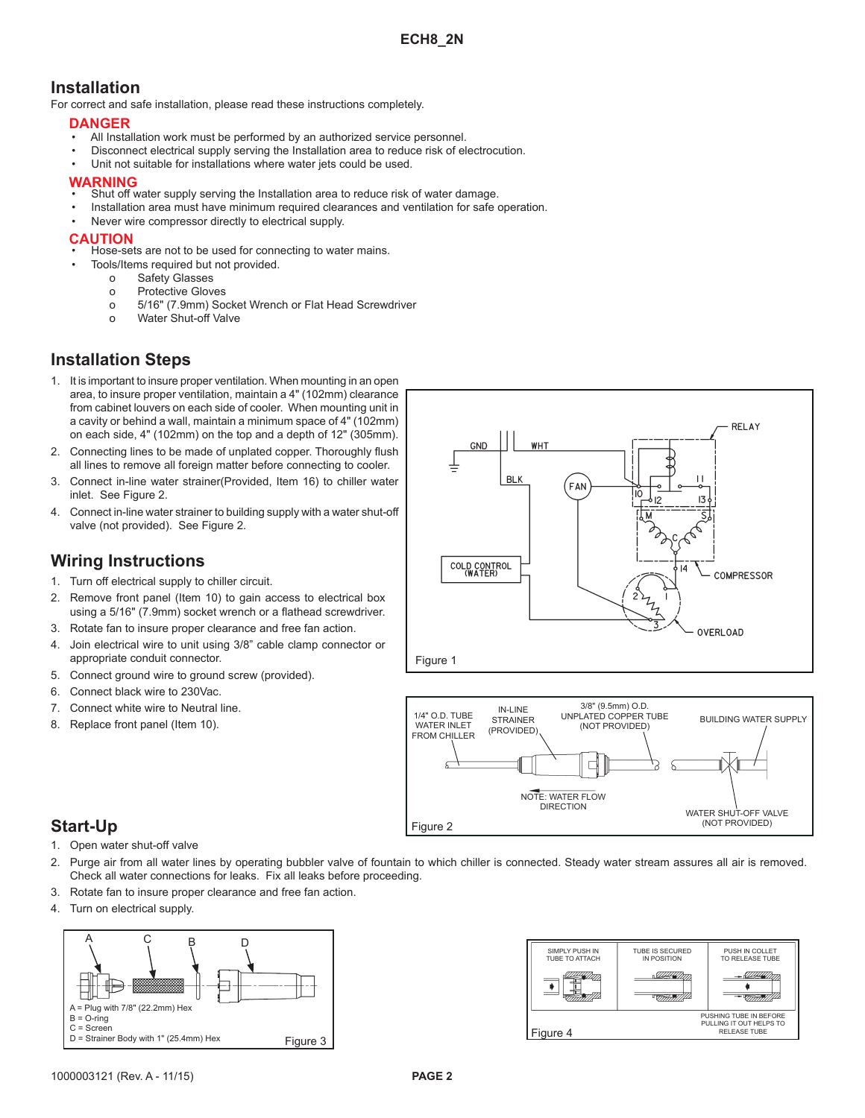# **Installation**

For correct and safe installation, please read these instructions completely.

#### **DANGER**

- All Installation work must be performed by an authorized service personnel.
- Disconnect electrical supply serving the Installation area to reduce risk of electrocution.
- Unit not suitable for installations where water jets could be used.

#### **WARNING**

- Shut off water supply serving the Installation area to reduce risk of water damage.
- Installation area must have minimum required clearances and ventilation for safe operation.
- Never wire compressor directly to electrical supply.

#### **CAUTION**

- Hose-sets are not to be used for connecting to water mains.
	- Tools/Items required but not provided.
		- o Safety Glasses
		- o Protective Gloves
		- o 5/16" (7.9mm) Socket Wrench or Flat Head Screwdriver
		- o Water Shut-off Valve

# **Installation Steps**

- 1. It is important to insure proper ventilation. When mounting in an open area, to insure proper ventilation, maintain a 4" (102mm) clearance from cabinet louvers on each side of cooler. When mounting unit in a cavity or behind a wall, maintain a minimum space of 4" (102mm) on each side, 4" (102mm) on the top and a depth of 12" (305mm).
- 2. Connecting lines to be made of unplated copper. Thoroughly flush all lines to remove all foreign matter before connecting to cooler.
- 3. Connect in-line water strainer(Provided, Item 16) to chiller water inlet. See Figure 2.
- 4. Connect in-line water strainer to building supply with a water shut-off valve (not provided). See Figure 2.

### **Wiring Instructions**

- 1. Turn off electrical supply to chiller circuit.
- 2. Remove front panel (Item 10) to gain access to electrical box using a 5/16" (7.9mm) socket wrench or a flathead screwdriver.
- 3. Rotate fan to insure proper clearance and free fan action.
- 4. Join electrical wire to unit using 3/8" cable clamp connector or appropriate conduit connector.
- 5. Connect ground wire to ground screw (provided).
- 6. Connect black wire to 230Vac.
- 7. Connect white wire to Neutral line.
- 8. Replace front panel (Item 10).





# **Start-Up**

- 1. Open water shut-off valve
- 2. Purge air from all water lines by operating bubbler valve of fountain to which chiller is connected. Steady water stream assures all air is removed. Check all water connections for leaks. Fix all leaks before proceeding.
- 3. Rotate fan to insure proper clearance and free fan action.
- 4. Turn on electrical supply.